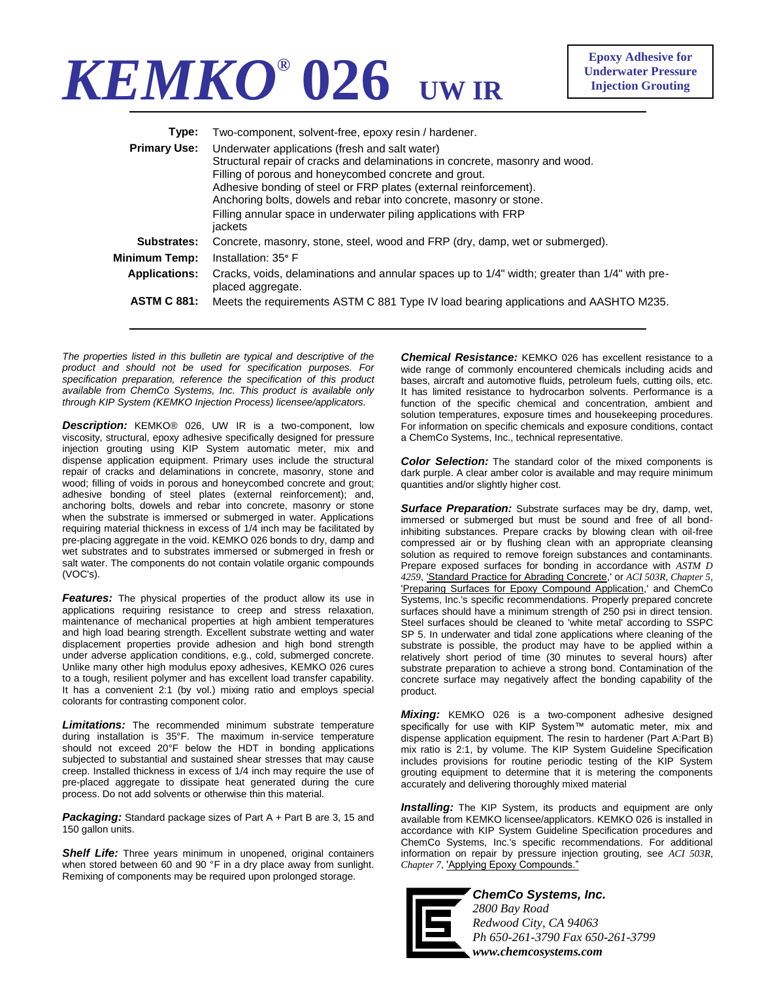## *KEMKO®* **026 UW IR**

| Type:                | Two-component, solvent-free, epoxy resin / hardener.                                                                                                                                                                                                                                                                                                                                                              |
|----------------------|-------------------------------------------------------------------------------------------------------------------------------------------------------------------------------------------------------------------------------------------------------------------------------------------------------------------------------------------------------------------------------------------------------------------|
| <b>Primary Use:</b>  | Underwater applications (fresh and salt water)<br>Structural repair of cracks and delaminations in concrete, masonry and wood.<br>Filling of porous and honeycombed concrete and grout.<br>Adhesive bonding of steel or FRP plates (external reinforcement).<br>Anchoring bolts, dowels and rebar into concrete, masonry or stone.<br>Filling annular space in underwater piling applications with FRP<br>jackets |
| Substrates:          | Concrete, masonry, stone, steel, wood and FRP (dry, damp, wet or submerged).                                                                                                                                                                                                                                                                                                                                      |
| Minimum Temp:        | Installation: 35° F                                                                                                                                                                                                                                                                                                                                                                                               |
| <b>Applications:</b> | Cracks, voids, delaminations and annular spaces up to 1/4" width; greater than 1/4" with pre-<br>placed aggregate.                                                                                                                                                                                                                                                                                                |
| <b>ASTM C 881:</b>   | Meets the requirements ASTM C 881 Type IV load bearing applications and AASHTO M235.                                                                                                                                                                                                                                                                                                                              |

*The properties listed in this bulletin are typical and descriptive of the product and should not be used for specification purposes. For specification preparation, reference the specification of this product available from ChemCo Systems, Inc. This product is available only through KIP System (KEMKO Injection Process) licensee/applicators.*

*Description:* KEMKO® 026, UW IR is a two-component, low viscosity, structural, epoxy adhesive specifically designed for pressure injection grouting using KIP System automatic meter, mix and dispense application equipment. Primary uses include the structural repair of cracks and delaminations in concrete, masonry, stone and wood; filling of voids in porous and honeycombed concrete and grout; adhesive bonding of steel plates (external reinforcement); and, anchoring bolts, dowels and rebar into concrete, masonry or stone when the substrate is immersed or submerged in water. Applications requiring material thickness in excess of 1/4 inch may be facilitated by pre-placing aggregate in the void. KEMKO 026 bonds to dry, damp and wet substrates and to substrates immersed or submerged in fresh or salt water. The components do not contain volatile organic compounds (VOC's).

*Features:* The physical properties of the product allow its use in applications requiring resistance to creep and stress relaxation, maintenance of mechanical properties at high ambient temperatures and high load bearing strength. Excellent substrate wetting and water displacement properties provide adhesion and high bond strength under adverse application conditions, e.g., cold, submerged concrete. Unlike many other high modulus epoxy adhesives, KEMKO 026 cures to a tough, resilient polymer and has excellent load transfer capability. It has a convenient 2:1 (by vol.) mixing ratio and employs special colorants for contrasting component color.

*Limitations:* The recommended minimum substrate temperature during installation is 35°F. The maximum in-service temperature should not exceed 20°F below the HDT in bonding applications subjected to substantial and sustained shear stresses that may cause creep. Installed thickness in excess of 1/4 inch may require the use of pre-placed aggregate to dissipate heat generated during the cure process. Do not add solvents or otherwise thin this material.

*Packaging:* Standard package sizes of Part A + Part B are 3, 15 and 150 gallon units.

**Shelf Life:** Three years minimum in unopened, original containers when stored between 60 and 90 °F in a dry place away from sunlight. Remixing of components may be required upon prolonged storage.

*Chemical Resistance:* KEMKO 026 has excellent resistance to a wide range of commonly encountered chemicals including acids and bases, aircraft and automotive fluids, petroleum fuels, cutting oils, etc. It has limited resistance to hydrocarbon solvents. Performance is a function of the specific chemical and concentration, ambient and solution temperatures, exposure times and housekeeping procedures. For information on specific chemicals and exposure conditions, contact a ChemCo Systems, Inc., technical representative.

*Color Selection:* The standard color of the mixed components is dark purple. A clear amber color is available and may require minimum quantities and/or slightly higher cost.

**Surface Preparation:** Substrate surfaces may be dry, damp, wet, immersed or submerged but must be sound and free of all bondinhibiting substances. Prepare cracks by blowing clean with oil-free compressed air or by flushing clean with an appropriate cleansing solution as required to remove foreign substances and contaminants. Prepare exposed surfaces for bonding in accordance with *ASTM D 4259*, 'Standard Practice for Abrading Concrete,' or *ACI 503R, Chapter 5,* 'Preparing Surfaces for Epoxy Compound Application,' and ChemCo Systems, Inc.'s specific recommendations. Properly prepared concrete surfaces should have a minimum strength of 250 psi in direct tension. Steel surfaces should be cleaned to 'white metal' according to SSPC SP 5. In underwater and tidal zone applications where cleaning of the substrate is possible, the product may have to be applied within a relatively short period of time (30 minutes to several hours) after substrate preparation to achieve a strong bond. Contamination of the concrete surface may negatively affect the bonding capability of the product.

*Mixing:* KEMKO 026 is a two-component adhesive designed specifically for use with KIP System™ automatic meter, mix and dispense application equipment. The resin to hardener (Part A:Part B) mix ratio is 2:1, by volume. The KIP System Guideline Specification includes provisions for routine periodic testing of the KIP System grouting equipment to determine that it is metering the components accurately and delivering thoroughly mixed material

**Installing:** The KIP System, its products and equipment are only available from KEMKO licensee/applicators. KEMKO 026 is installed in accordance with KIP System Guideline Specification procedures and ChemCo Systems, Inc.'s specific recommendations. For additional information on repair by pressure injection grouting, see *ACI 503R, Chapter 7*, 'Applying Epoxy Compounds."



*ChemCo Systems, Inc. 2800 Bay Road Redwood City, CA 94063 Ph 650-261-3790 Fax 650-261-3799 www.chemcosystems.com*